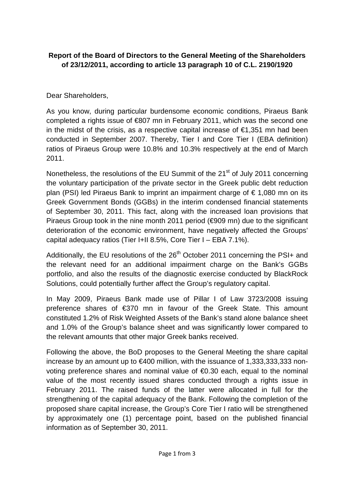## **Report of the Board of Directors to the General Meeting of the Shareholders of 23/12/2011, according to article 13 paragraph 10 of C.L. 2190/1920**

## Dear Shareholders,

As you know, during particular burdensome economic conditions, Piraeus Bank completed a rights issue of €807 mn in February 2011, which was the second one in the midst of the crisis, as a respective capital increase of  $\epsilon$ 1,351 mn had been conducted in September 2007. Thereby, Tier I and Core Tier I (EBA definition) ratios of Piraeus Group were 10.8% and 10.3% respectively at the end of March 2011.

Nonetheless, the resolutions of the EU Summit of the 21<sup>st</sup> of July 2011 concerning the voluntary participation of the private sector in the Greek public debt reduction plan (PSI) led Piraeus Bank to imprint an impairment charge of  $\epsilon$  1,080 mn on its Greek Government Bonds (GGBs) in the interim condensed financial statements of September 30, 2011. This fact, along with the increased loan provisions that Piraeus Group took in the nine month 2011 period (€909 mn) due to the significant deterioration of the economic environment, have negatively affected the Groups' capital adequacy ratios (Tier I+II 8.5%, Core Tier I – EBA 7.1%).

Additionally, the EU resolutions of the  $26<sup>th</sup>$  October 2011 concerning the PSI+ and the relevant need for an additional impairment charge on the Bank's GGBs portfolio, and also the results of the diagnostic exercise conducted by BlackRock Solutions, could potentially further affect the Group's regulatory capital.

In May 2009, Piraeus Bank made use of Pillar I of Law 3723/2008 issuing preference shares of €370 mn in favour of the Greek State. This amount constituted 1.2% of Risk Weighted Assets of the Bank's stand alone balance sheet and 1.0% of the Group's balance sheet and was significantly lower compared to the relevant amounts that other major Greek banks received.

Following the above, the BoD proposes to the General Meeting the share capital increase by an amount up to €400 million, with the issuance of 1,333,333,333 nonvoting preference shares and nominal value of €0.30 each, equal to the nominal value of the most recently issued shares conducted through a rights issue in February 2011. The raised funds of the latter were allocated in full for the strengthening of the capital adequacy of the Bank. Following the completion of the proposed share capital increase, the Group's Core Tier I ratio will be strengthened by approximately one (1) percentage point, based on the published financial information as of September 30, 2011.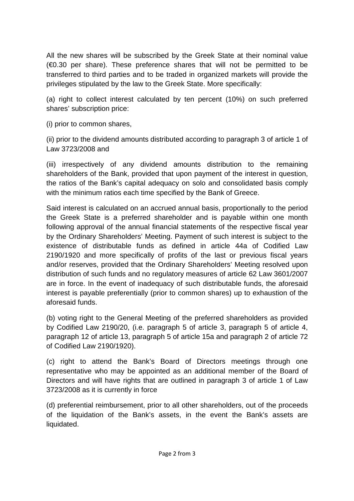All the new shares will be subscribed by the Greek State at their nominal value  $(\epsilon 0.30$  per share). These preference shares that will not be permitted to be transferred to third parties and to be traded in organized markets will provide the privileges stipulated by the law to the Greek State. More specifically:

(a) right to collect interest calculated by ten percent (10%) on such preferred shares' subscription price:

(i) prior to common shares,

(ii) prior to the dividend amounts distributed according to paragraph 3 of article 1 of Law 3723/2008 and

(iii) irrespectively of any dividend amounts distribution to the remaining shareholders of the Bank, provided that upon payment of the interest in question, the ratios of the Bank's capital adequacy on solo and consolidated basis comply with the minimum ratios each time specified by the Bank of Greece.

Said interest is calculated on an accrued annual basis, proportionally to the period the Greek State is a preferred shareholder and is payable within one month following approval of the annual financial statements of the respective fiscal year by the Ordinary Shareholders' Meeting. Payment of such interest is subject to the existence of distributable funds as defined in article 44a of Codified Law 2190/1920 and more specifically of profits of the last or previous fiscal years and/or reserves, provided that the Ordinary Shareholders' Meeting resolved upon distribution of such funds and no regulatory measures of article 62 Law 3601/2007 are in force. In the event of inadequacy of such distributable funds, the aforesaid interest is payable preferentially (prior to common shares) up to exhaustion of the aforesaid funds.

(b) voting right to the General Meeting of the preferred shareholders as provided by Codified Law 2190/20, (i.e. paragraph 5 of article 3, paragraph 5 of article 4, paragraph 12 of article 13, paragraph 5 of article 15a and paragraph 2 of article 72 of Codified Law 2190/1920).

(c) right to attend the Bank's Board of Directors meetings through one representative who may be appointed as an additional member of the Board of Directors and will have rights that are outlined in paragraph 3 of article 1 of Law 3723/2008 as it is currently in force

(d) preferential reimbursement, prior to all other shareholders, out of the proceeds of the liquidation of the Bank's assets, in the event the Bank's assets are liquidated.